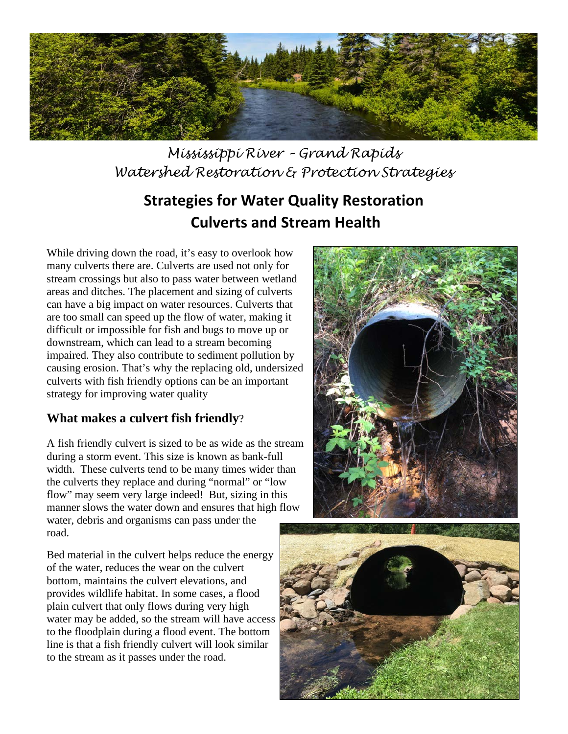

*Mississippi River – Grand Rapids Watershed Restoration & Protection Strategies*

# **Strategies for Water Quality Restoration Culverts and Stream Health**

While driving down the road, it's easy to overlook how many culverts there are. Culverts are used not only for stream crossings but also to pass water between wetland areas and ditches. The placement and sizing of culverts can have a big impact on water resources. Culverts that are too small can speed up the flow of water, making it difficult or impossible for fish and bugs to move up or downstream, which can lead to a stream becoming impaired. They also contribute to sediment pollution by causing erosion. That's why the replacing old, undersized culverts with fish friendly options can be an important strategy for improving water quality

#### **What makes a culvert fish friendly**?

A fish friendly culvert is sized to be as wide as the stream during a storm event. This size is known as bank-full width. These culverts tend to be many times wider than the culverts they replace and during "normal" or "low flow" may seem very large indeed! But, sizing in this manner slows the water down and ensures that high flow water, debris and organisms can pass under the road.

Bed material in the culvert helps reduce the energy of the water, reduces the wear on the culvert bottom, maintains the culvert elevations, and provides wildlife habitat. In some cases, a flood plain culvert that only flows during very high water may be added, so the stream will have access to the floodplain during a flood event. The bottom line is that a fish friendly culvert will look similar to the stream as it passes under the road.